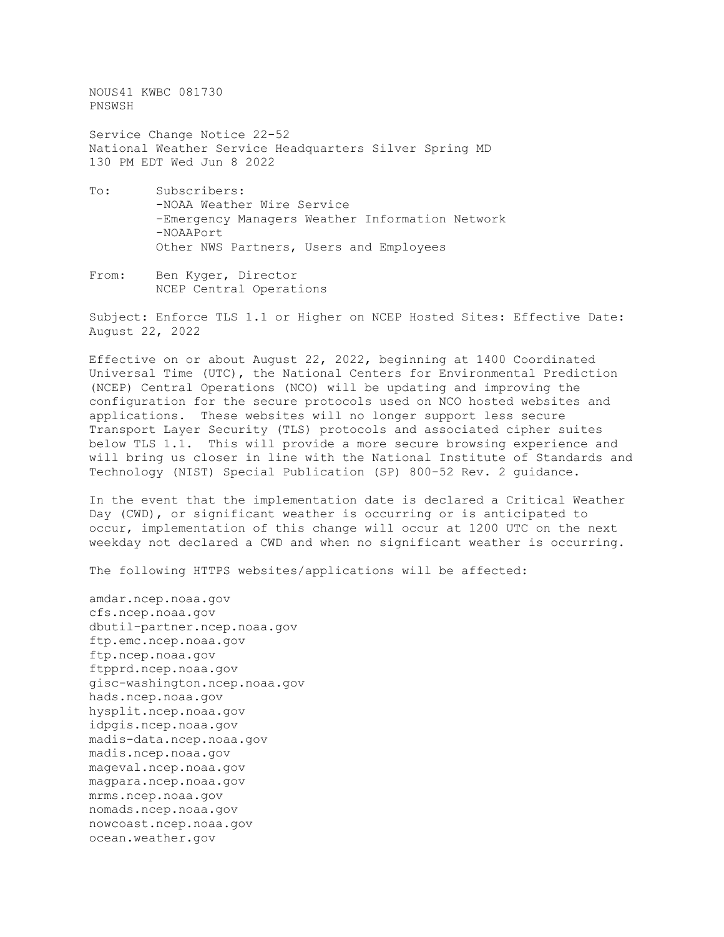NOUS41 KWBC 081730 PNSWSH

Service Change Notice 22-52 National Weather Service Headquarters Silver Spring MD 130 PM EDT Wed Jun 8 2022

- To: Subscribers: -NOAA Weather Wire Service -Emergency Managers Weather Information Network -NOAAPort Other NWS Partners, Users and Employees
- From: Ben Kyger, Director NCEP Central Operations

Subject: Enforce TLS 1.1 or Higher on NCEP Hosted Sites: Effective Date: August 22, 2022

Effective on or about August 22, 2022, beginning at 1400 Coordinated Universal Time (UTC), the National Centers for Environmental Prediction (NCEP) Central Operations (NCO) will be updating and improving the configuration for the secure protocols used on NCO hosted websites and applications. These websites will no longer support less secure Transport Layer Security (TLS) protocols and associated cipher suites below TLS 1.1. This will provide a more secure browsing experience and will bring us closer in line with the National Institute of Standards and Technology (NIST) Special Publication (SP) 800-52 Rev. 2 guidance.

In the event that the implementation date is declared a Critical Weather Day (CWD), or significant weather is occurring or is anticipated to occur, implementation of this change will occur at 1200 UTC on the next weekday not declared a CWD and when no significant weather is occurring.

The following HTTPS websites/applications will be affected:

amdar.ncep.noaa.gov cfs.ncep.noaa.gov dbutil-partner.ncep.noaa.gov ftp.emc.ncep.noaa.gov ftp.ncep.noaa.gov ftpprd.ncep.noaa.gov gisc-washington.ncep.noaa.gov hads.ncep.noaa.gov hysplit.ncep.noaa.gov idpgis.ncep.noaa.gov madis-data.ncep.noaa.gov madis.ncep.noaa.gov mageval.ncep.noaa.gov magpara.ncep.noaa.gov mrms.ncep.noaa.gov nomads.ncep.noaa.gov nowcoast.ncep.noaa.gov ocean.weather.gov